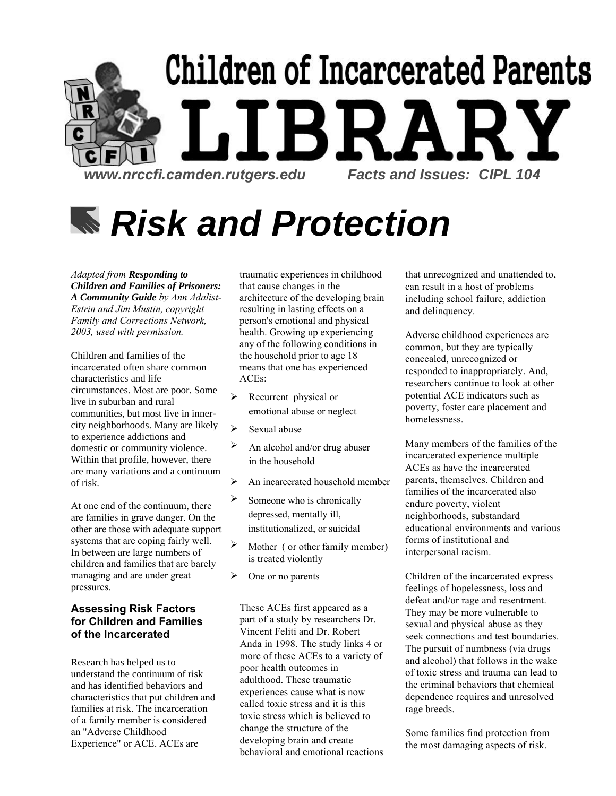

# *Risk and Protection*

*Adapted from Responding to Children and Families of Prisoners: A Community Guide by Ann Adalist-Estrin and Jim Mustin, copyright Family and Corrections Network, 2003, used with permission.* 

Children and families of the incarcerated often share common characteristics and life circumstances. Most are poor. Some live in suburban and rural communities, but most live in innercity neighborhoods. Many are likely to experience addictions and domestic or community violence. Within that profile, however, there are many variations and a continuum of risk.

At one end of the continuum, there are families in grave danger. On the other are those with adequate support systems that are coping fairly well. In between are large numbers of children and families that are barely managing and are under great pressures.

#### **Assessing Risk Factors for Children and Families of the Incarcerated**

Research has helped us to understand the continuum of risk and has identified behaviors and characteristics that put children and families at risk. The incarceration of a family member is considered an "Adverse Childhood Experience" or ACE. ACEs are

traumatic experiences in childhood that cause changes in the architecture of the developing brain resulting in lasting effects on a person's emotional and physical health. Growing up experiencing any of the following conditions in the household prior to age 18 means that one has experienced ACEs:

- $\triangleright$  Recurrent physical or emotional abuse or neglect
- $\triangleright$  Sexual abuse
- $\triangleright$  An alcohol and/or drug abuser in the household
- $\triangleright$  An incarcerated household member
- $\triangleright$  Someone who is chronically depressed, mentally ill, institutionalized, or suicidal
- $\triangleright$  Mother ( or other family member) is treated violently
- $\triangleright$  One or no parents

These ACEs first appeared as a part of a study by researchers Dr. Vincent Feliti and Dr. Robert Anda in 1998. The study links 4 or more of these ACEs to a variety of poor health outcomes in adulthood. These traumatic experiences cause what is now called toxic stress and it is this toxic stress which is believed to change the structure of the developing brain and create behavioral and emotional reactions that unrecognized and unattended to, can result in a host of problems including school failure, addiction and delinquency.

Adverse childhood experiences are common, but they are typically concealed, unrecognized or responded to inappropriately. And, researchers continue to look at other potential ACE indicators such as poverty, foster care placement and homelessness.

Many members of the families of the incarcerated experience multiple ACEs as have the incarcerated parents, themselves. Children and families of the incarcerated also endure poverty, violent neighborhoods, substandard educational environments and various forms of institutional and interpersonal racism.

Children of the incarcerated express feelings of hopelessness, loss and defeat and/or rage and resentment. They may be more vulnerable to sexual and physical abuse as they seek connections and test boundaries. The pursuit of numbness (via drugs and alcohol) that follows in the wake of toxic stress and trauma can lead to the criminal behaviors that chemical dependence requires and unresolved rage breeds.

Some families find protection from the most damaging aspects of risk.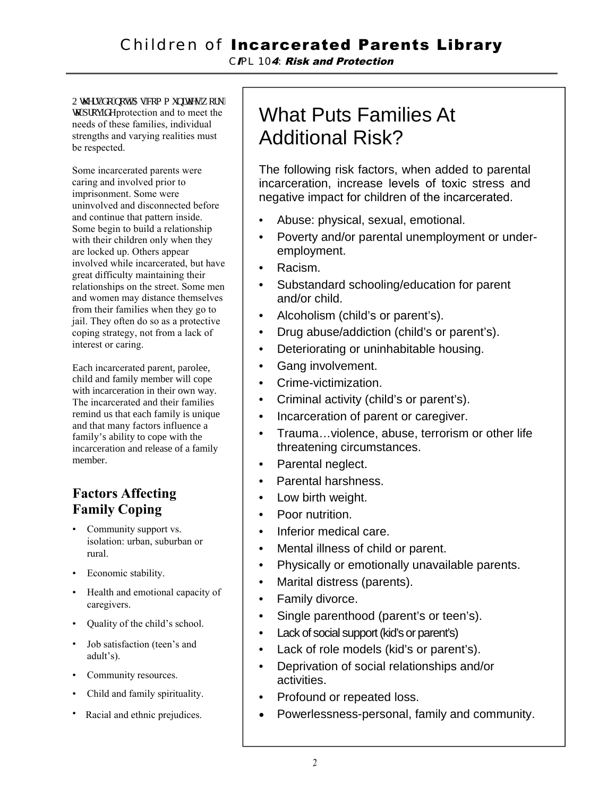## Children of Incarcerated Parents Library

*C*I*PL 10*4*:* Risk and Protection

Qy gtu'f q'pqv0Cu'eqo o wpkkgu'y qtm'  $\mathbf{v}$  and to meet the value of the value of the value of the value of the value of the value of the value of the value of the value of the value of the value of the value of the value of the value of the value of the v needs of these families, individual strengths and varying realities must be respected.

Some incarcerated parents were caring and involved prior to imprisonment. Some were uninvolved and disconnected before and continue that pattern inside. Some begin to build a relationship with their children only when they are locked up. Others appear involved while incarcerated, but have great difficulty maintaining their relationships on the street. Some men and women may distance themselves from their families when they go to jail. They often do so as a protective coping strategy, not from a lack of interest or caring.

Each incarcerated parent, parolee, child and family member will cope with incarceration in their own way. The incarcerated and their families remind us that each family is unique and that many factors influence a family's ability to cope with the incarceration and release of a family member.

### **Factors Affecting Family Coping**

- Community support vs. isolation: urban, suburban or rural.
- Economic stability.
- Health and emotional capacity of caregivers.
- Quality of the child's school.
- Job satisfaction (teen's and adult's).
- Community resources.
- Child and family spirituality.
- Racial and ethnic prejudices.

# What Puts Families At Additional Risk?

The following risk factors, when added to parental incarceration, increase levels of toxic stress and negative impact for children of the incarcerated.

- Abuse: physical, sexual, emotional.
- Poverty and/or parental unemployment or underemployment.
- Racism.
- Substandard schooling/education for parent and/or child.
- Alcoholism (child's or parent's).
- Drug abuse/addiction (child's or parent's).
- Deteriorating or uninhabitable housing.
- Gang involvement.
- Crime-victimization.
- Criminal activity (child's or parent's).
- Incarceration of parent or caregiver.
- Trauma…violence, abuse, terrorism or other life threatening circumstances.
- Parental neglect.
- Parental harshness.
- Low birth weight.
- Poor nutrition.
- Inferior medical care.
- Mental illness of child or parent.
- Physically or emotionally unavailable parents.
- Marital distress (parents).
- Family divorce.
- Single parenthood (parent's or teen's).
- Lack of social support (kid's or parent's)
- Lack of role models (kid's or parent's).
- Deprivation of social relationships and/or activities.
- Profound or repeated loss.
- Powerlessness-personal, family and community.